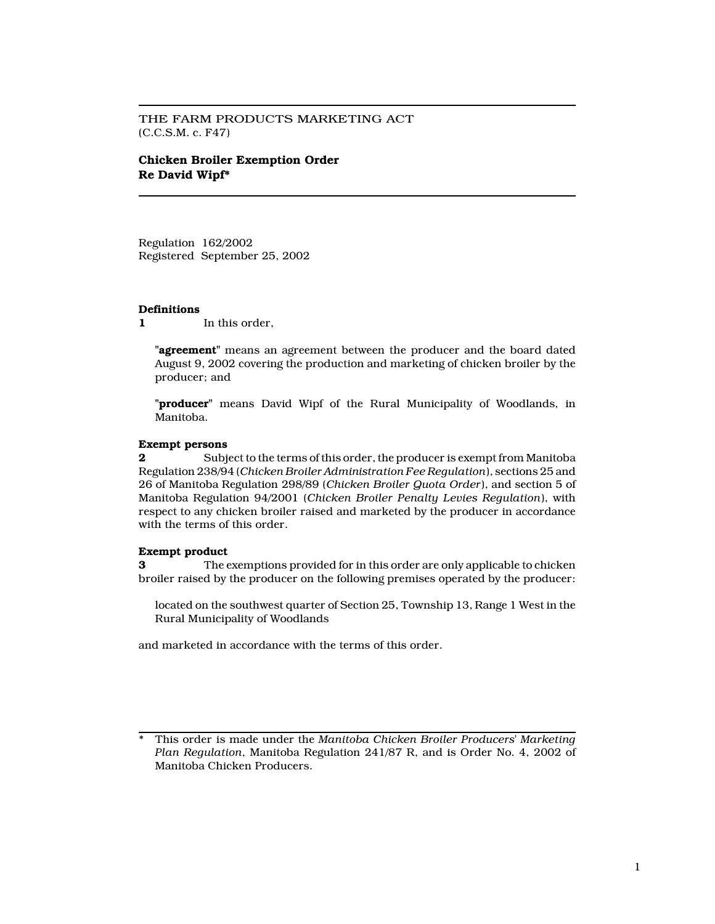THE FARM PRODUCTS MARKETING ACT (C.C.S.M. c. F47)

# Chicken Broiler Exemption Order Re David Wipf\*

Regulation 162/2002 Registered September 25, 2002

## **Definitions**

1 In this order,

"**agreement**" means an agreement between the producer and the board dated August 9, 2002 covering the production and marketing of chicken broiler by the producer; and

"producer" means David Wipf of the Rural Municipality of Woodlands, in Manitoba.

# Exempt persons

2 Subject to the terms of this order, the producer is exempt from Manitoba Regulation 238/94 (Chicken Broiler Administration Fee Regulation), sections 25 and 26 of Manitoba Regulation 298/89 (Chicken Broiler Quota Order), and section 5 of Manitoba Regulation 94/2001 (Chicken Broiler Penalty Levies Regulation), with respect to any chicken broiler raised and marketed by the producer in accordance with the terms of this order.

## Exempt product

3 The exemptions provided for in this order are only applicable to chicken broiler raised by the producer on the following premises operated by the producer:

located on the southwest quarter of Section 25, Township 13, Range 1 West in the Rural Municipality of Woodlands

and marketed in accordance with the terms of this order.

This order is made under the Manitoba Chicken Broiler Producers' Marketing Plan Regulation, Manitoba Regulation 241/87 R, and is Order No. 4, 2002 of Manitoba Chicken Producers.